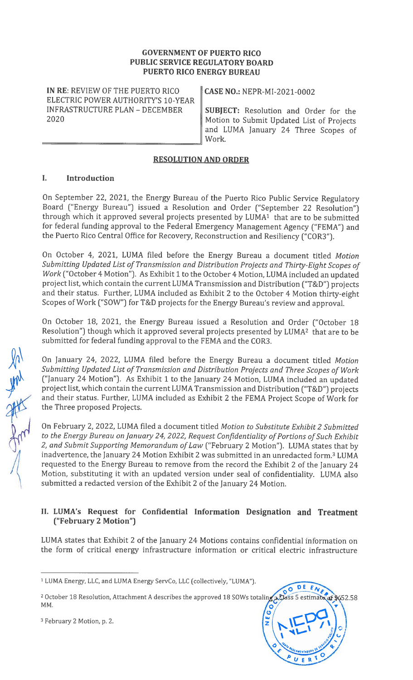#### GOVERNMENT OF PUERTO RICO PUBLIC SERVICE REGULATORY BOARD PUERTO RICO ENERGY BUREAU

IN RE: REVIEW OF THE PUERTO RICO  $\parallel$  CASE NO.: NEPR-MI-2021-0002 ELECTRIC POWER AUTHORITY'S 10-YEAR

INFRASTRUCTURE PLAN – DECEMBER  $\parallel$  SUBJECT: Resolution and Order for the 2020 Motion to Submit Updated List of Projects and LUMA January 24 Three Scopes of Work.

#### RESOLUTION AND ORDER

## I. Introduction

On September 22, 2021, the Energy Bureau of the Puerto Rico Public Service Regulatory Board ("Energy Bureau") issued a Resolution and Order ("September 22 Resolution") through which it approved several projects presented by LUMA' that are to be submitted for federal funding approval to the Federal Emergency Management Agency ("FEMA") and the Puerto Rico Central Office for Recovery, Reconstruction and Resiliency ("COR3").

On October 4, 2021, LUMA filed before the Energy Bureau a document titled Motion Submitting Updated List of Transmission and Distribution Projects and Thirty-Eight Scopes of Work ("October 4 Motion"). As Exhibit <sup>1</sup> to the October 4 Motion, LUMA included an updated project list, which contain the current LUMA Transmission and Distribution ("T&D") projects and their status. Further, LUMA included as Exhibit <sup>2</sup> to the October 4 Motion thirty-eight Scopes of Work ("SOW") for T&D projects for the Energy Bureau's review and approval.

On October 18, 2021, the Energy Bureau issued a Resolution and Order ("October 18 Resolution") though which it approved several projects presented by LUMA2 that are to be submitted for federal funding approval to the FEMA and the COR3.

On January 24, 2022, LUMA filed before the Energy Bureau a document titled Motion Submitting Updated List of Transmission and Distribution Projects and Three Scopes of Work ("January 24 Motion"). As Exhibit <sup>1</sup> to the January 24 Motion, LUMA included an updated project list, which contain the current LUMA Transmission and Distribution ("T&D") projects -" and their status. Further, LUMA included as Exhibit 2 the FEMA Project Scope of Work for the Three proposed Projects.

On February 2, 2022, LUMA filed a document titled Motion to Substitute Exhibit 2 Submitted to the Energy Bureau on January 24, 2022, Request Confidentiality of Portions of Such Exhibit 2, and Submit Supporting Memorandum of Law ("February 2 Motion"). LUMA states that by inadvertence, the January 24 Motion Exhibit 2 was submitted in an unredacted form.<sup>3</sup> LUMA requested to the Energy Bureau to remove from the record the Exhibit <sup>2</sup> of the January 24 Motion, substituting it with an updated version under seal of confidentiality. LUMA also submitted a redacted version of the Exhibit <sup>2</sup> of the January 24 Motion.

## II. LUMA's Request for Confidential Information Designation and Treatment ("February 2 Motion")

LUMA states that Exhibit <sup>2</sup> of the January 24 Motions contains confidential information on the form of critical energy infrastructure information or critical electric infrastructure

<sup>3</sup> February 2 Motion, p. 2.





<sup>1</sup> LUMA Energy, LLC, and LUMA Energy ServCo, LLC (collectively, "LUMA").

<sup>&</sup>lt;sup>2</sup> October 18 Resolution, Attachment A describes the approved 18 SOWs totaling a Class 5 estimate of \$652.58 MM.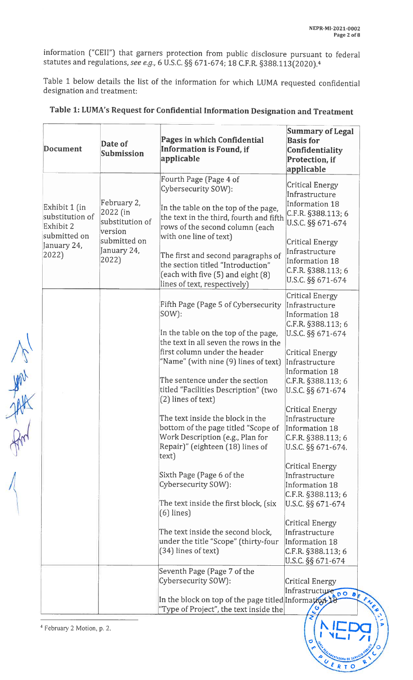R<sub>T</sub>O

information ("CEll") that garners protection from public disclosure pursuant to federal statutes and regulations, see e.g., 6 U.S.C. §§ 671-674; 18 C.F.R. §388.113(2020).<sup>4</sup>

Table <sup>1</sup> below details the list of the information for which LUMA requested confidential designation and treatment:

|    | Document                                                                              | Date of<br><b>Submission</b>                                                                  | Pages in which Confidential<br>Information is Found, if<br>applicable                                                                                                                                                                                                                                                                         | <b>Summary of Legal</b><br><b>Basis for</b><br>Confidentiality<br>Protection, if<br>applicable                                                                                                                    |
|----|---------------------------------------------------------------------------------------|-----------------------------------------------------------------------------------------------|-----------------------------------------------------------------------------------------------------------------------------------------------------------------------------------------------------------------------------------------------------------------------------------------------------------------------------------------------|-------------------------------------------------------------------------------------------------------------------------------------------------------------------------------------------------------------------|
|    | Exhibit 1 (in<br>substitution of<br>Exhibit 2<br>submitted on<br>January 24,<br>2022) | February 2,<br>2022 (in<br>substitution of<br>version<br>submitted on<br>January 24,<br>2022) | Fourth Page (Page 4 of<br>Cybersecurity SOW):<br>In the table on the top of the page,<br>the text in the third, fourth and fifth<br>rows of the second column (each<br>with one line of text)<br>The first and second paragraphs of<br>the section titled "Introduction"<br>(each with five (5) and eight (8)<br>lines of text, respectively) | <b>Critical Energy</b><br>Infrastructure<br>Information 18<br>C.F.R. §388.113; 6<br>U.S.C. §§ 671-674<br>Critical Energy<br>Infrastructure<br>Information 18<br>$C.F.R.$ §388.113; 6<br>U.S.C. §§ 671-674         |
| AM |                                                                                       |                                                                                               | Fifth Page (Page 5 of Cybersecurity<br>$ SOW$ :<br>In the table on the top of the page,<br>the text in all seven the rows in the<br>first column under the header<br>"Name" (with nine (9) lines of text)<br>The sentence under the section<br>titled "Facilities Description" (two<br>(2) lines of text)                                     | <b>Critical Energy</b><br>Infrastructure<br>Information 18<br>C.F.R. §388.113; 6<br>U.S.C. §§ 671-674<br><b>Critical Energy</b><br>Infrastructure<br>Information 18<br>$ C.F.R.$ §388.113; 6<br>U.S.C. §§ 671-674 |
|    |                                                                                       |                                                                                               | The text inside the block in the<br>bottom of the page titled "Scope of<br>Work Description (e.g., Plan for<br>Repair)" (eighteen (18) lines of<br>text)                                                                                                                                                                                      | <b>Critical Energy</b><br>Infrastructure<br>Information 18<br>$C.F.R.$ §388.113; 6<br>U.S.C. §§ 671-674.                                                                                                          |
|    |                                                                                       |                                                                                               | Sixth Page (Page 6 of the<br>Cybersecurity SOW):<br>The text inside the first block, (six<br>$(6)$ lines)                                                                                                                                                                                                                                     | <b>Critical Energy</b><br>Infrastructure<br>Information 18<br>$C.F.R.$ §388.113; 6<br>U.S.C. §§ 671-674                                                                                                           |
|    |                                                                                       |                                                                                               | The text inside the second block,<br>under the title "Scope" (thirty-four<br>(34) lines of text)                                                                                                                                                                                                                                              | Critical Energy<br>Infrastructure<br>Information 18<br>$C.F.R.$ §388.113; 6<br>U.S.C. §§ 671-674                                                                                                                  |
|    |                                                                                       |                                                                                               | Seventh Page (Page 7 of the<br>Cybersecurity SOW):<br>In the block on top of the page titled Information 18<br>"Type of Project", the text inside the                                                                                                                                                                                         | Critical Energy<br>Infrastructure 00 0 F                                                                                                                                                                          |

# Table 1: LUMA's Request for Confidential Information Designation and Treatment

<sup>4</sup> February 2 Motion, p. 2.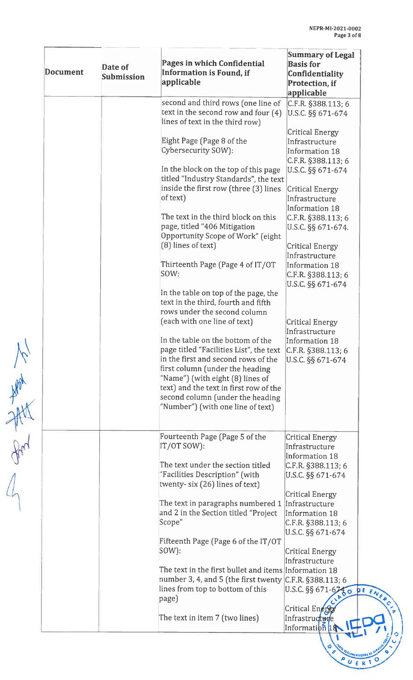| Document | Date of<br><b>Submission</b> | Pages in which Confidential<br>Information is Found, if<br>applicable                                                                                                                                                                                                                                                                         | <b>Summary of Legal</b><br><b>Basis</b> for<br>Confidentiality<br>Protection, if<br>applicable           |
|----------|------------------------------|-----------------------------------------------------------------------------------------------------------------------------------------------------------------------------------------------------------------------------------------------------------------------------------------------------------------------------------------------|----------------------------------------------------------------------------------------------------------|
|          |                              | second and third rows (one line of<br>text in the second row and four $(4)$<br>lines of text in the third row)                                                                                                                                                                                                                                | C.F.R. §388.113; 6<br>U.S.C. §§ 671-674                                                                  |
|          |                              | Eight Page (Page 8 of the<br>Cybersecurity SOW):                                                                                                                                                                                                                                                                                              | Critical Energy<br>Infrastructure<br>Information 18                                                      |
|          |                              | In the block on the top of this page<br>titled "Industry Standards", the text<br>inside the first row (three (3) lines                                                                                                                                                                                                                        | C.F.R. §388.113; 6<br>U.S.C. §§ 671-674<br><b>Critical Energy</b>                                        |
|          |                              | of text)<br>The text in the third block on this                                                                                                                                                                                                                                                                                               | Infrastructure<br>Information 18                                                                         |
|          |                              | page, titled "406 Mitigation<br>Opportunity Scope of Work" (eight                                                                                                                                                                                                                                                                             | $C.F.R.$ §388.113; 6<br>U.S.C. §§ 671-674.                                                               |
|          |                              | (8) lines of text)<br>Thirteenth Page (Page 4 of IT/OT<br>SOW:                                                                                                                                                                                                                                                                                | <b>Critical Energy</b><br>Infrastructure<br>Information 18<br>C.F.R. §388.113; 6<br>U.S.C. §§ 671-674    |
|          |                              | In the table on top of the page, the<br>text in the third, fourth and fifth<br>rows under the second column                                                                                                                                                                                                                                   |                                                                                                          |
|          |                              | (each with one line of text)<br>In the table on the bottom of the<br>page titled "Facilities List", the text<br>in the first and second rows of the<br>first column (under the heading<br>"Name") (with eight (8) lines of<br>text) and the text in first row of the<br>second column (under the heading<br>"Number") (with one line of text) | <b>Critical Energy</b><br>Infrastructure<br>Information 18<br>$ C.F.R.$ §388.113; 6<br>U.S.C. §§ 671-674 |
|          |                              | Fourteenth Page (Page 5 of the<br>IT/OT SOW):                                                                                                                                                                                                                                                                                                 | <b>Critical Energy</b><br>Infrastructure                                                                 |
|          |                              | The text under the section titled<br>"Facilities Description" (with<br>twenty-six (26) lines of text)                                                                                                                                                                                                                                         | Information 18<br>$ C.F.R.$ §388.113; 6<br>U.S.C. §§ 671-674                                             |
|          |                              | The text in paragraphs numbered 1<br>and 2 in the Section titled "Project<br>Scope"                                                                                                                                                                                                                                                           | <b>Critical Energy</b><br>Infrastructure<br>Information 18<br>$ C.F.R.$ §388.113; 6<br>U.S.C. §§ 671-674 |
|          |                              | Fifteenth Page (Page 6 of the IT/OT<br>$\textsf{SOW}$ :                                                                                                                                                                                                                                                                                       | Critical Energy<br>Infrastructure                                                                        |
|          |                              | The text in the first bullet and items Information 18<br>number 3, 4, and 5 (the first twenty $ C.F.R. \S 388.113$ ; 6<br>lines from top to bottom of this<br>page)                                                                                                                                                                           | U.S.C. §§ 671-6750 DE ENE                                                                                |
|          |                              | The text in item 7 (two lines)                                                                                                                                                                                                                                                                                                                | Critical $En$<br>Infrastructure<br>Informati <b>ph 1</b>                                                 |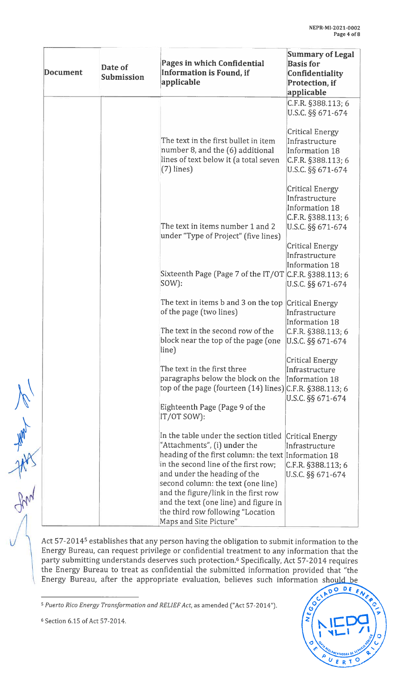|                  | Document | Date of<br>Submission | Pages in which Confidential<br>Information is Found, if<br>applicable                                                                                                                                                                                                                                                                                                                       | <b>Summary of Legal</b><br><b>Basis for</b><br><b>Confidentiality</b><br>Protection, if<br>applicable                                              |
|------------------|----------|-----------------------|---------------------------------------------------------------------------------------------------------------------------------------------------------------------------------------------------------------------------------------------------------------------------------------------------------------------------------------------------------------------------------------------|----------------------------------------------------------------------------------------------------------------------------------------------------|
|                  |          |                       | The text in the first bullet in item<br>number 8, and the (6) additional<br>lines of text below it (a total seven<br>$(7)$ lines)                                                                                                                                                                                                                                                           | $C.F.R.$ §388.113; 6<br>U.S.C. §§ 671-674<br><b>Critical Energy</b><br>Infrastructure<br>Information 18<br>C.F.R. §388.113; 6<br>U.S.C. §§ 671-674 |
|                  |          |                       | The text in items number 1 and 2<br>under "Type of Project" (five lines)                                                                                                                                                                                                                                                                                                                    | Critical Energy<br>Infrastructure<br>Information 18<br>$C.F.R.$ §388.113; 6<br>U.S.C. §§ 671-674<br><b>Critical Energy</b><br>Infrastructure       |
|                  |          |                       | Sixteenth Page (Page 7 of the IT/OT C.F.R. §388.113; 6<br>$\textsf{SOW}$ :                                                                                                                                                                                                                                                                                                                  | <b>Information 18</b><br>U.S.C. §§ 671-674                                                                                                         |
|                  |          |                       | The text in items b and 3 on the top<br>of the page (two lines)                                                                                                                                                                                                                                                                                                                             | Critical Energy<br>Infrastructure<br>Information 18                                                                                                |
|                  |          |                       | The text in the second row of the<br>block near the top of the page (one<br>line)                                                                                                                                                                                                                                                                                                           | $ C.F.R.$ §388.113; 6<br>U.S.C. §§ 671-674                                                                                                         |
|                  |          |                       | The text in the first three<br>paragraphs below the block on the<br>top of the page (fourteen (14) lines) C.F.R. §388.113; 6                                                                                                                                                                                                                                                                | Critical Energy<br>Infrastructure<br>Information 18<br>U.S.C. §§ 671-674                                                                           |
|                  |          |                       | Eighteenth Page (Page 9 of the<br>IT/OT SOW):                                                                                                                                                                                                                                                                                                                                               |                                                                                                                                                    |
| <b>Valley 18</b> |          |                       | In the table under the section titled<br>"Attachments", (i) under the<br>heading of the first column: the text Information 18<br>in the second line of the first row;<br>and under the heading of the<br>second column: the text (one line)<br>and the figure/link in the first row<br>and the text (one line) and figure in<br>the third row following "Location<br>Maps and Site Picture" | <b>Critical Energy</b><br>Infrastructure<br>$ C.F.R.$ §388.113; 6<br>U.S.C. §§ 671-674                                                             |

Act 57-2014<sup>5</sup> establishes that any person having the obligation to submit information to the Energy Bureau, can request privilege or confidential treatment to any information that the party submitting understands deserves such protection.6 Specifically, Act 57-2014 requires the Energy Bureau to treat as confidential the submitted information provided that "the Energy Bureau, after the appropriate evaluation, believes such information should be



<sup>&</sup>lt;sup>5</sup> Puerto Rico Energy Transformation and RELIEF Act, as amended ("Act 57-2014").

<sup>6</sup> Section 6.15 of Act 57-2014.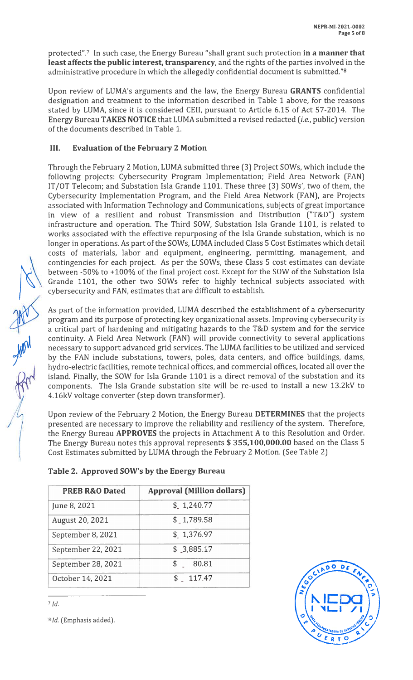protected".<sup>7</sup> In such case, the Energy Bureau "shall grant such protection in a manner that least affects the public interest, transparency, and the rights of the parties involved in the administrative procedure in which the allegedly confidential document is submitted."8

Upon review of LUMA's arguments and the law, the Energy Bureau GRANTS confidential designation and treatment to the information described in Table <sup>1</sup> above, for the reasons stated by LUMA, since it is considered CEll, pursuant to Article 6.15 of Act 57-2014. The Energy Bureau TAKES NOTICE that LUMA submitted a revised redacted (*i.e.*, public) version of the documents described in Table 1.

## III. Evaluation of the February 2 Motion

Through the February <sup>2</sup> Motion, LUMA submitted three (3) Project SOWs, which include the following projects: Cybersecurity Program Implementation; Field Area Network (FAN) IT/OT Telecom; and Substation Isla Grande 1101. These three (3) SOWs', two of them, the Cybersecurity Implementation Program, and the Field Area Network (FAN), are Projects associated with Information Technology and Communications, subjects of great importance in view of a resilient and robust Transmission and Distribution ("T&D") system infrastructure and operation. The Third SOW, Substation Isla Grande 1101, is related to works associated with the effective repurposing of the Isla Grande substation, which is no longer in operations. As part of the SOWs, LUMA included Class <sup>5</sup> Cost Estimates which detail costs of materials, labor and equipment, engineering, permitting, management, and contingencies for each project. As per the SOWs, these Class <sup>5</sup> cost estimates can deviate between -50% to +100% of the final project cost. Except for the SOW of the Substation Isla Grande 1101, the other two SOWs refer to highly technical subjects associated with cybersecurity and FAN, estimates that are difficult to establish.

As part of the information provided, LUMA described the establishment of a cybersecurity program and its purpose of protecting key organizational assets. Improving cybersecurity is a critical part of hardening and mitigating hazards to the T&D system and for the service continuity. <sup>A</sup> Field Area Network (FAN) will provide connectivity to several applications necessary to support advanced grid services. The LUMA facilities to be utilized and serviced by the FAN include substations, towers, poles, data centers, and office buildings, dams, hydro-electric facilities, remote technical offices, and commercial offices, located all over the island. Finally, the SOW for Isla Grande 1101 is a direct removal of the substation and its components. The Isla Grande substation site will be re-used to install a new 13.2kV to 4.16kV voltage converter (step down transformer).

Upon review of the February 2 Motion, the Energy Bureau DETERMINES that the projects presented are necessary to improve the reliability and resiliency of the system. Therefore, the Energy Bureau APPROVES the projects in Attachment <sup>A</sup> to this Resolution and Order. The Energy Bureau notes this approval represents \$ 355,100,000.00 based on the Class <sup>S</sup> Cost Estimates submitted by LUMA through the February 2 Motion. (See Table 2)

| <b>PREB R&amp;O Dated</b> | <b>Approval (Million dollars)</b> |
|---------------------------|-----------------------------------|
| June 8, 2021              | \$1,240.77                        |
| August 20, 2021           | \$1,789.58                        |
| September 8, 2021         | \$1,376.97                        |
| September 22, 2021        | \$3,885.17                        |
| September 28, 2021        | 80.81                             |

# Table 2. Approved SOW's by the Energy Bureau

October 14, 2021 \$ 117.47



 $7$  Id.

<sup>8</sup> *Id.* (Emphasis added).

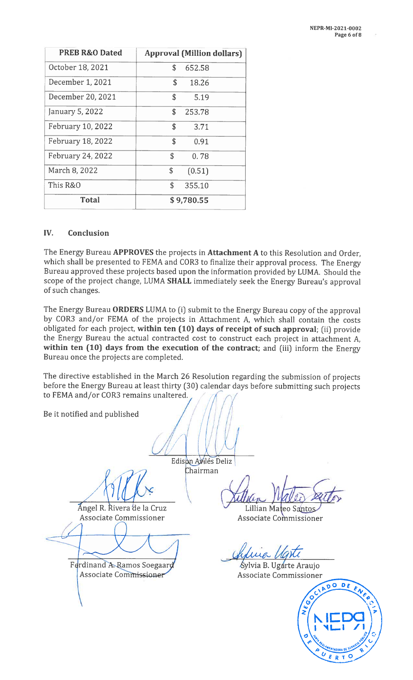| <b>PREB R&amp;O Dated</b> | <b>Approval (Million dollars)</b> |
|---------------------------|-----------------------------------|
| October 18, 2021          | \$<br>652.58                      |
| December 1, 2021          | \$<br>18.26                       |
| December 20, 2021         | \$<br>5.19                        |
| January 5, 2022           | \$<br>253.78                      |
| February 10, 2022         | \$<br>3.71                        |
| February 18, 2022         | \$<br>0.91                        |
| February 24, 2022         | \$<br>0.78                        |
| March 8, 2022             | \$<br>(0.51)                      |
| This R&O                  | \$<br>355.10                      |
| <b>Total</b>              | \$9,780.55                        |

#### IV. Conclusion

The Energy Bureau APPROVES the projects in Attachment A to this Resolution and Order, which shall be presented to FEMA and COR3 to finalize their approval process. The Energy Bureau approved these projects based upon the information provided by LUMA. Should the scope of the project change, LUMA SHALL immediately seek the Energy Bureau's approval of such changes.

The Energy Bureau ORDERS LUMA to (i) submit to the Energy Bureau copy of the approval by COR3 and/or FEMA of the projects in Attachment A, which shall contain the costs obligated for each project, within ten (10) days of receipt of such approval; (ii) provide the Energy Bureau the actual contracted cost to construct each project in attachment A, within ten (10) days from the execution of the contract; and (iii) inform the Energy Bureau once the projects are completed.

The directive established in the March 26 Resolution regarding the submission of projects before the Energy Bureau at least thirty (30) calendar days before submitting such projects to FEMA and/or COR3 remains unaltered.

Be it notified and published

el R. Rivera'de la Cruz Associate Commissioner

Ferdinand A. Ramos Soegaard Associate Commissioner

Edison Avilés Deliz hairman

Lillian Mateo Santos Associate Commissioner

ina

Sylvia B. Ugarte Araujo Associate Commissioner

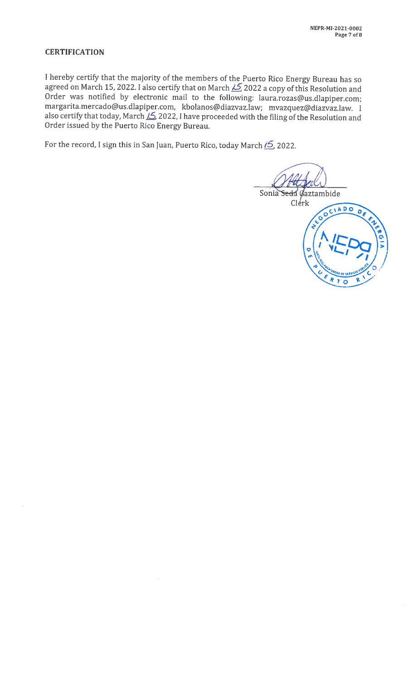## **CERTIFICATION**

<sup>I</sup> hereby certify that the majority of the members of the Puerto Rico Energy Bureau has so agreed on March 15, 2022. I also certify that on March  $\cancel{\sim}$  2022 a copy of this Resolution and Order was notified by electronic mail to the following: laura.rozas@us.dlapiper.com; margarita.mercado@us.dlapiper.com, kbolanos@ diazvaz.Iaw; mvazquez@diazvaz.law. <sup>I</sup> also certify that today, March  $\frac{15}{2}$  2022, I have proceeded with the filing of the Resolution and Order issued by the Puerto Rico Energy Bureau.

For the record, I sign this in San Juan, Puerto Rico, today March  $15/2022$ .

Sonia Se da Gaztambide Clerk CIADO ັດ